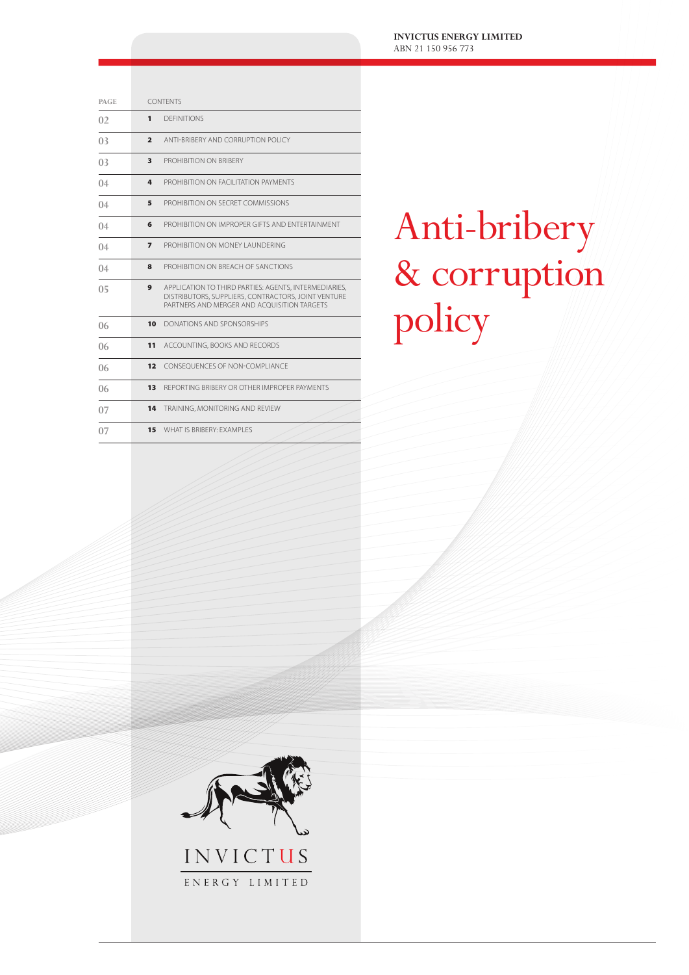**INVICTUS ENERGY LIMITED** ABN 21 150 956 773

| PAGE           | <b>CONTENTS</b> |                                                                                                                                                             |
|----------------|-----------------|-------------------------------------------------------------------------------------------------------------------------------------------------------------|
| 0 <sub>2</sub> | 1               | <b>DEFINITIONS</b>                                                                                                                                          |
| 0 <sub>3</sub> | $\overline{2}$  | ANTI-BRIBERY AND CORRUPTION POLICY                                                                                                                          |
| 0 <sub>3</sub> | 3               | PROHIBITION ON BRIBERY                                                                                                                                      |
| 04             | 4               | PROHIBITION ON FACILITATION PAYMENTS                                                                                                                        |
| 04             | 5               | PROHIBITION ON SECRET COMMISSIONS                                                                                                                           |
| 04             | 6               | PROHIBITION ON IMPROPER GIFTS AND ENTERTAINMENT                                                                                                             |
| 04             | $\overline{ }$  | PROHIBITION ON MONEY LAUNDERING                                                                                                                             |
| 04             | 8               | PROHIBITION ON BREACH OF SANCTIONS                                                                                                                          |
| 0 <sub>5</sub> | 9               | APPLICATION TO THIRD PARTIES: AGENTS, INTERMEDIARIES,<br>DISTRIBUTORS, SUPPLIERS, CONTRACTORS, JOINT VENTURE<br>PARTNERS AND MERGER AND ACOUISITION TARGETS |
| 06             | 10              | DONATIONS AND SPONSORSHIPS                                                                                                                                  |
| 06             | 11              | ACCOUNTING, BOOKS AND RECORDS                                                                                                                               |
| 06             | 12              | CONSEQUENCES OF NON-COMPLIANCE                                                                                                                              |
| 06             | 13              | REPORTING BRIBERY OR OTHER IMPROPER PAYMENTS                                                                                                                |
| 07             | 14              | TRAINING, MONITORING AND REVIEW                                                                                                                             |
| 07             | 15              | WHAT IS BRIBERY: EXAMPLES                                                                                                                                   |

# Anti-bribery & corruption policy



ENERGY LIMITED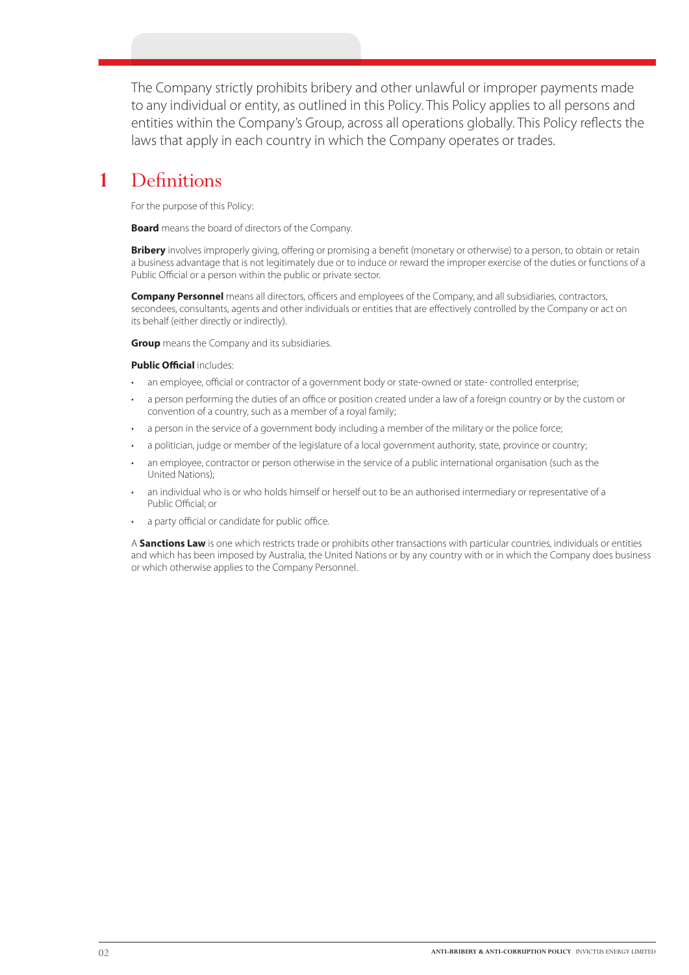The Company strictly prohibits bribery and other unlawful or improper payments made to any individual or entity, as outlined in this Policy. This Policy applies to all persons and entities within the Company's Group, across all operations globally. This Policy reflects the laws that apply in each country in which the Company operates or trades.

### **1** Definitions

For the purpose of this Policy:

**Board** means the board of directors of the Company.

**Bribery** involves improperly giving, offering or promising a benefit (monetary or otherwise) to a person, to obtain or retain a business advantage that is not legitimately due or to induce or reward the improper exercise of the duties or functions of a Public Official or a person within the public or private sector.

**Company Personnel** means all directors, officers and employees of the Company, and all subsidiaries, contractors, secondees, consultants, agents and other individuals or entities that are effectively controlled by the Company or act on its behalf (either directly or indirectly).

**Group** means the Company and its subsidiaries.

### **Public Official** includes:

- an employee, official or contractor of a government body or state-owned or state- controlled enterprise;
- a person performing the duties of an office or position created under a law of a foreign country or by the custom or convention of a country, such as a member of a royal family;
- a person in the service of a government body including a member of the military or the police force;
- a politician, judge or member of the legislature of a local government authority, state, province or country;
- an employee, contractor or person otherwise in the service of a public international organisation (such as the United Nations);
- an individual who is or who holds himself or herself out to be an authorised intermediary or representative of a Public Official; or
- a party official or candidate for public office.

A **Sanctions Law** is one which restricts trade or prohibits other transactions with particular countries, individuals or entities and which has been imposed by Australia, the United Nations or by any country with or in which the Company does business or which otherwise applies to the Company Personnel.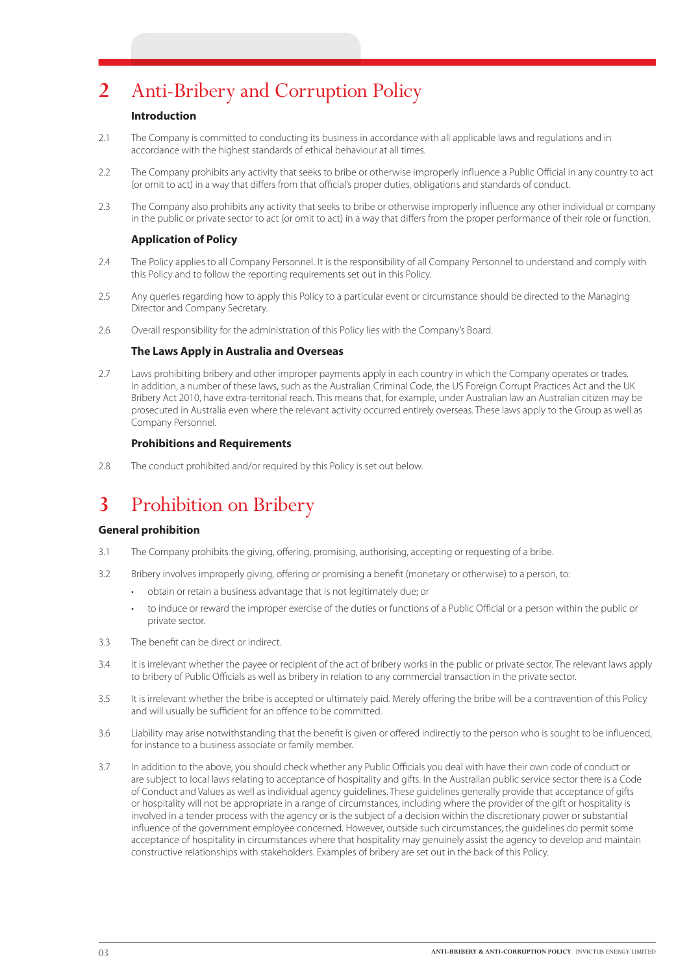# **2** Anti-Bribery and Corruption Policy

### **Introduction**

- 2.1 The Company is committed to conducting its business in accordance with all applicable laws and regulations and in accordance with the highest standards of ethical behaviour at all times.
- 2.2 The Company prohibits any activity that seeks to bribe or otherwise improperly influence a Public Official in any country to act (or omit to act) in a way that differs from that official's proper duties, obligations and standards of conduct.
- 2.3 The Company also prohibits any activity that seeks to bribe or otherwise improperly influence any other individual or company in the public or private sector to act (or omit to act) in a way that differs from the proper performance of their role or function.

### **Application of Policy**

- 2.4 The Policy applies to all Company Personnel. It is the responsibility of all Company Personnel to understand and comply with this Policy and to follow the reporting requirements set out in this Policy.
- 2.5 Any queries regarding how to apply this Policy to a particular event or circumstance should be directed to the Managing Director and Company Secretary.
- 2.6 Overall responsibility for the administration of this Policy lies with the Company's Board.

### **The Laws Apply in Australia and Overseas**

2.7 Laws prohibiting bribery and other improper payments apply in each country in which the Company operates or trades. In addition, a number of these laws, such as the Australian Criminal Code, the US Foreign Corrupt Practices Act and the UK Bribery Act 2010, have extra-territorial reach. This means that, for example, under Australian law an Australian citizen may be prosecuted in Australia even where the relevant activity occurred entirely overseas. These laws apply to the Group as well as Company Personnel.

### **Prohibitions and Requirements**

2.8 The conduct prohibited and/or required by this Policy is set out below.

# **3** Prohibition on Bribery

### **General prohibition**

- 3.1 The Company prohibits the giving, offering, promising, authorising, accepting or requesting of a bribe.
- 3.2 Bribery involves improperly giving, offering or promising a benefit (monetary or otherwise) to a person, to:
	- obtain or retain a business advantage that is not legitimately due; or
	- to induce or reward the improper exercise of the duties or functions of a Public Official or a person within the public or private sector.
- 3.3 The benefit can be direct or indirect.
- 3.4 It is irrelevant whether the payee or recipient of the act of bribery works in the public or private sector. The relevant laws apply to bribery of Public Officials as well as bribery in relation to any commercial transaction in the private sector.
- 3.5 It is irrelevant whether the bribe is accepted or ultimately paid. Merely offering the bribe will be a contravention of this Policy and will usually be sufficient for an offence to be committed.
- 3.6 Liability may arise notwithstanding that the benefit is given or offered indirectly to the person who is sought to be influenced, for instance to a business associate or family member.
- 3.7 In addition to the above, you should check whether any Public Officials you deal with have their own code of conduct or are subject to local laws relating to acceptance of hospitality and gifts. In the Australian public service sector there is a Code of Conduct and Values as well as individual agency guidelines. These guidelines generally provide that acceptance of gifts or hospitality will not be appropriate in a range of circumstances, including where the provider of the gift or hospitality is involved in a tender process with the agency or is the subject of a decision within the discretionary power or substantial influence of the government employee concerned. However, outside such circumstances, the guidelines do permit some acceptance of hospitality in circumstances where that hospitality may genuinely assist the agency to develop and maintain constructive relationships with stakeholders. Examples of bribery are set out in the back of this Policy.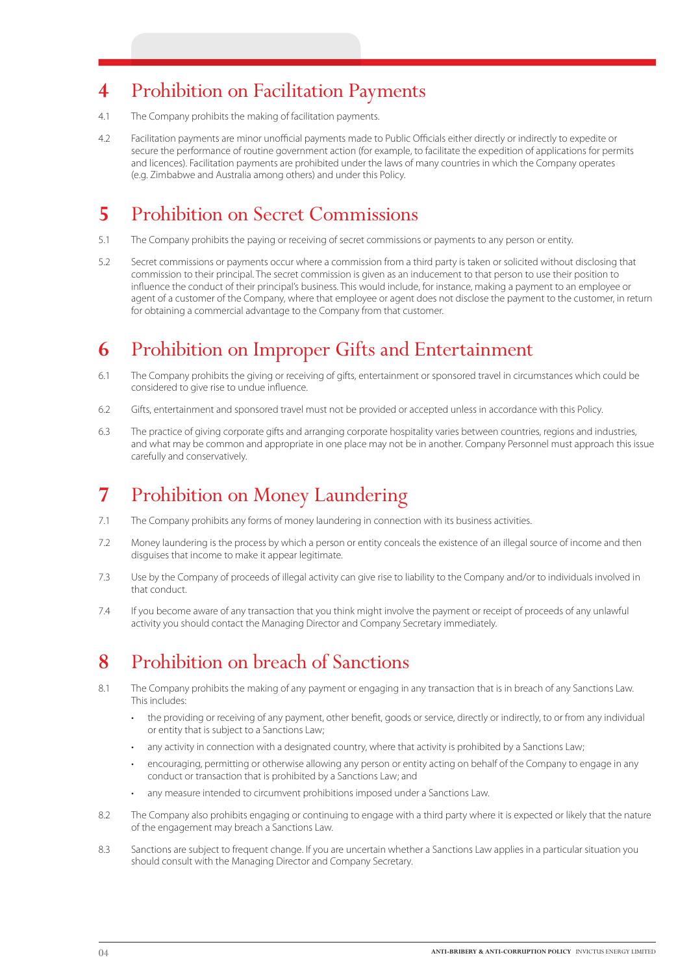# **4** Prohibition on Facilitation Payments

- 4.1 The Company prohibits the making of facilitation payments.
- 4.2 Facilitation payments are minor unofficial payments made to Public Officials either directly or indirectly to expedite or secure the performance of routine government action (for example, to facilitate the expedition of applications for permits and licences). Facilitation payments are prohibited under the laws of many countries in which the Company operates (e.g. Zimbabwe and Australia among others) and under this Policy.

# **5** Prohibition on Secret Commissions

- 5.1 The Company prohibits the paying or receiving of secret commissions or payments to any person or entity.
- 5.2 Secret commissions or payments occur where a commission from a third party is taken or solicited without disclosing that commission to their principal. The secret commission is given as an inducement to that person to use their position to influence the conduct of their principal's business. This would include, for instance, making a payment to an employee or agent of a customer of the Company, where that employee or agent does not disclose the payment to the customer, in return for obtaining a commercial advantage to the Company from that customer.

# **6** Prohibition on Improper Gifts and Entertainment

- 6.1 The Company prohibits the giving or receiving of gifts, entertainment or sponsored travel in circumstances which could be considered to give rise to undue influence.
- 6.2 Gifts, entertainment and sponsored travel must not be provided or accepted unless in accordance with this Policy.
- 6.3 The practice of giving corporate gifts and arranging corporate hospitality varies between countries, regions and industries, and what may be common and appropriate in one place may not be in another. Company Personnel must approach this issue carefully and conservatively.

# **7** Prohibition on Money Laundering

- 7.1 The Company prohibits any forms of money laundering in connection with its business activities.
- 7.2 Money laundering is the process by which a person or entity conceals the existence of an illegal source of income and then disguises that income to make it appear legitimate.
- 7.3 Use by the Company of proceeds of illegal activity can give rise to liability to the Company and/or to individuals involved in that conduct.
- 7.4 If you become aware of any transaction that you think might involve the payment or receipt of proceeds of any unlawful activity you should contact the Managing Director and Company Secretary immediately.

### **8** Prohibition on breach of Sanctions

- 8.1 The Company prohibits the making of any payment or engaging in any transaction that is in breach of any Sanctions Law. This includes:
	- the providing or receiving of any payment, other benefit, goods or service, directly or indirectly, to or from any individual or entity that is subject to a Sanctions Law;
	- any activity in connection with a designated country, where that activity is prohibited by a Sanctions Law;
	- encouraging, permitting or otherwise allowing any person or entity acting on behalf of the Company to engage in any conduct or transaction that is prohibited by a Sanctions Law; and
	- any measure intended to circumvent prohibitions imposed under a Sanctions Law.
- 8.2 The Company also prohibits engaging or continuing to engage with a third party where it is expected or likely that the nature of the engagement may breach a Sanctions Law.
- 8.3 Sanctions are subject to frequent change. If you are uncertain whether a Sanctions Law applies in a particular situation you should consult with the Managing Director and Company Secretary.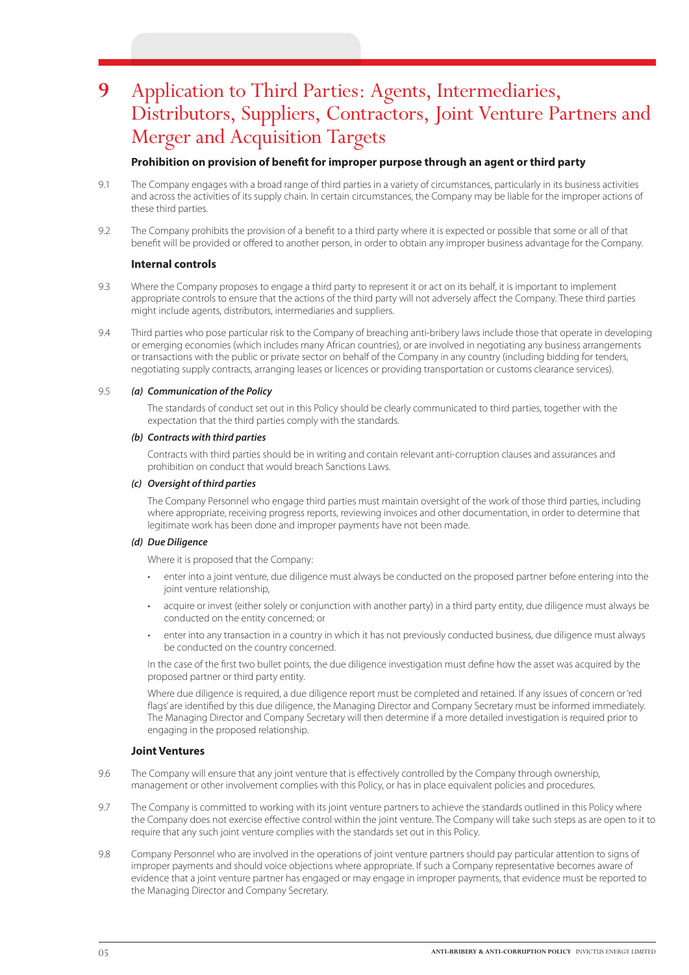# **9** Application to Third Parties: Agents, Intermediaries, Distributors, Suppliers, Contractors, Joint Venture Partners and Merger and Acquisition Targets

### **Prohibition on provision of benefit for improper purpose through an agent or third party**

- 9.1 The Company engages with a broad range of third parties in a variety of circumstances, particularly in its business activities and across the activities of its supply chain. In certain circumstances, the Company may be liable for the improper actions of these third parties.
- 9.2 The Company prohibits the provision of a benefit to a third party where it is expected or possible that some or all of that benefit will be provided or offered to another person, in order to obtain any improper business advantage for the Company.

#### **Internal controls**

- 9.3 Where the Company proposes to engage a third party to represent it or act on its behalf, it is important to implement appropriate controls to ensure that the actions of the third party will not adversely affect the Company. These third parties might include agents, distributors, intermediaries and suppliers.
- 9.4 Third parties who pose particular risk to the Company of breaching anti-bribery laws include those that operate in developing or emerging economies (which includes many African countries), or are involved in negotiating any business arrangements or transactions with the public or private sector on behalf of the Company in any country (including bidding for tenders, negotiating supply contracts, arranging leases or licences or providing transportation or customs clearance services).

#### 9.5 *(a) Communication of the Policy*

The standards of conduct set out in this Policy should be clearly communicated to third parties, together with the expectation that the third parties comply with the standards.

#### *(b) Contracts with third parties*

Contracts with third parties should be in writing and contain relevant anti-corruption clauses and assurances and prohibition on conduct that would breach Sanctions Laws.

#### *(c) Oversight of third parties*

The Company Personnel who engage third parties must maintain oversight of the work of those third parties, including where appropriate, receiving progress reports, reviewing invoices and other documentation, in order to determine that legitimate work has been done and improper payments have not been made.

#### *(d) Due Diligence*

Where it is proposed that the Company:

- enter into a joint venture, due diligence must always be conducted on the proposed partner before entering into the joint venture relationship,
- acquire or invest (either solely or conjunction with another party) in a third party entity, due diligence must always be conducted on the entity concerned; or
- enter into any transaction in a country in which it has not previously conducted business, due diligence must always be conducted on the country concerned.

In the case of the first two bullet points, the due diligence investigation must define how the asset was acquired by the proposed partner or third party entity.

Where due diligence is required, a due diligence report must be completed and retained. If any issues of concern or 'red flags' are identified by this due diligence, the Managing Director and Company Secretary must be informed immediately. The Managing Director and Company Secretary will then determine if a more detailed investigation is required prior to engaging in the proposed relationship.

#### **Joint Ventures**

- 9.6 The Company will ensure that any joint venture that is effectively controlled by the Company through ownership, management or other involvement complies with this Policy, or has in place equivalent policies and procedures.
- 9.7 The Company is committed to working with its joint venture partners to achieve the standards outlined in this Policy where the Company does not exercise effective control within the joint venture. The Company will take such steps as are open to it to require that any such joint venture complies with the standards set out in this Policy.
- 9.8 Company Personnel who are involved in the operations of joint venture partners should pay particular attention to signs of improper payments and should voice objections where appropriate. If such a Company representative becomes aware of evidence that a joint venture partner has engaged or may engage in improper payments, that evidence must be reported to the Managing Director and Company Secretary.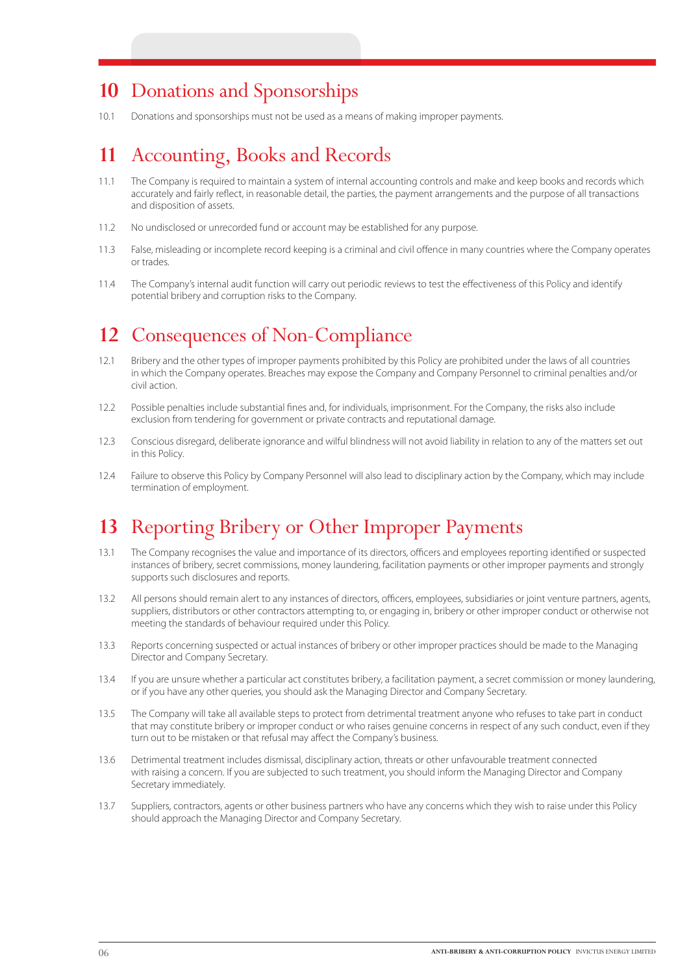### **10** Donations and Sponsorships

10.1 Donations and sponsorships must not be used as a means of making improper payments.

# **11** Accounting, Books and Records

- 11.1 The Company is required to maintain a system of internal accounting controls and make and keep books and records which accurately and fairly reflect, in reasonable detail, the parties, the payment arrangements and the purpose of all transactions and disposition of assets.
- 11.2 No undisclosed or unrecorded fund or account may be established for any purpose.
- 11.3 False, misleading or incomplete record keeping is a criminal and civil offence in many countries where the Company operates or trades.
- 11.4 The Company's internal audit function will carry out periodic reviews to test the effectiveness of this Policy and identify potential bribery and corruption risks to the Company.

### **12** Consequences of Non-Compliance

- 12.1 Bribery and the other types of improper payments prohibited by this Policy are prohibited under the laws of all countries in which the Company operates. Breaches may expose the Company and Company Personnel to criminal penalties and/or civil action.
- 12.2 Possible penalties include substantial fines and, for individuals, imprisonment. For the Company, the risks also include exclusion from tendering for government or private contracts and reputational damage.
- 12.3 Conscious disregard, deliberate ignorance and wilful blindness will not avoid liability in relation to any of the matters set out in this Policy.
- 12.4 Failure to observe this Policy by Company Personnel will also lead to disciplinary action by the Company, which may include termination of employment.

### **13** Reporting Bribery or Other Improper Payments

- 13.1 The Company recognises the value and importance of its directors, officers and employees reporting identified or suspected instances of bribery, secret commissions, money laundering, facilitation payments or other improper payments and strongly supports such disclosures and reports.
- 13.2 All persons should remain alert to any instances of directors, officers, employees, subsidiaries or joint venture partners, agents, suppliers, distributors or other contractors attempting to, or engaging in, bribery or other improper conduct or otherwise not meeting the standards of behaviour required under this Policy.
- 13.3 Reports concerning suspected or actual instances of bribery or other improper practices should be made to the Managing Director and Company Secretary.
- 13.4 If you are unsure whether a particular act constitutes bribery, a facilitation payment, a secret commission or money laundering, or if you have any other queries, you should ask the Managing Director and Company Secretary.
- 13.5 The Company will take all available steps to protect from detrimental treatment anyone who refuses to take part in conduct that may constitute bribery or improper conduct or who raises genuine concerns in respect of any such conduct, even if they turn out to be mistaken or that refusal may affect the Company's business.
- 13.6 Detrimental treatment includes dismissal, disciplinary action, threats or other unfavourable treatment connected with raising a concern. If you are subjected to such treatment, you should inform the Managing Director and Company Secretary immediately.
- 13.7 Suppliers, contractors, agents or other business partners who have any concerns which they wish to raise under this Policy should approach the Managing Director and Company Secretary.